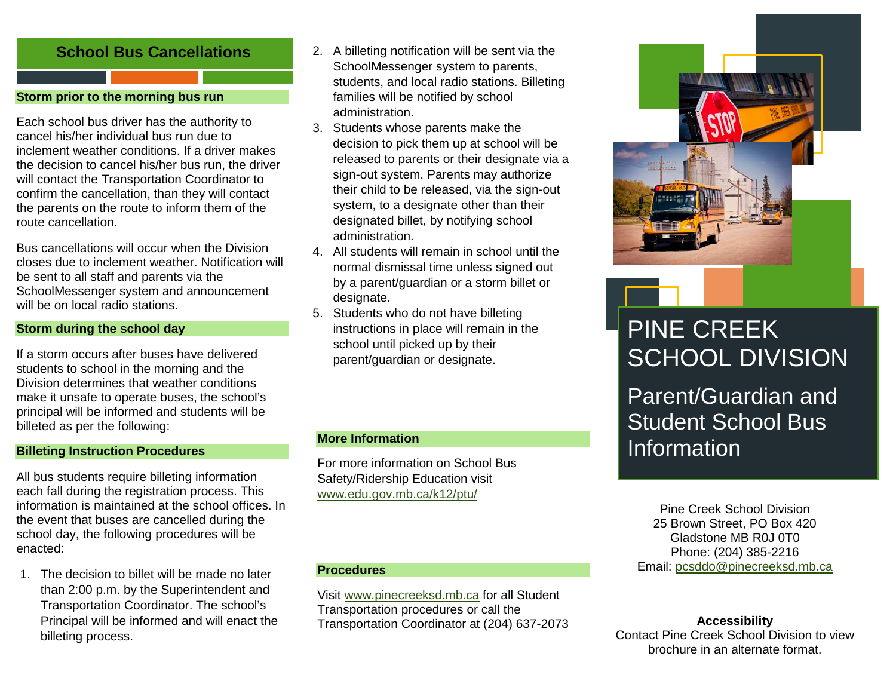## **School Bus Cancellations**

## **Storm prior to the morning bus run**

Each school bus driver has the authority to cancel his/her individual bus run due to inclement weather conditions. If a driver makes the decision to cancel his/her bus run, the driver will contact the Transportation Coordinator to confirm the cancellation, than they will contact the parents on the route to inform them of the route cancellation.

Bus cancellations will occur when the Division closes due to inclement weather. Notification will be sent to all staff and parents via the SchoolMessenger system and announcement will be on local radio stations.

## **Storm during the school day**

If a storm occurs after buses have delivered students to school in the morning and the Division determines that weather conditions make it unsafe to operate buses, the school's principal will be informed and students will be billeted as per the following:

## **Billeting Instruction Procedures**

All bus students require billeting information each fall during the registration process. This information is maintained at the school offices. In the event that buses are cancelled during the school day, the following procedures will be enacted:

1. The decision to billet will be made no later than 2:00 p.m. by the Superintendent and Transportation Coordinator. The school's Principal will be informed and will enact the billeting process.

- 2. A billeting notification will be sent via the SchoolMessenger system to parents, students, and local radio stations. Billeting families will be notified by school administration.
- 3. Students whose parents make the decision to pick them up at school will be released to parents or their designate via a sign-out system. Parents may authorize their child to be released, via the sign-out system, to a designate other than their designated billet, by notifying school administration.
- 4. All students will remain in school until the normal dismissal time unless signed out by a parent/guardian or a storm billet or designate.
- 5. Students who do not have billeting instructions in place will remain in the school until picked up by their parent/guardian or designate.

## **More Information**

For more information on School Bus Safety/Ridership Education visit [www.edu.gov.mb.ca/k12/ptu/](http://www.edu.gov.mb.ca/k12/ptu/)

## **Procedures**

Visit [www.pinecreeksd.mb.ca](http://www.pinecreeksd.mb.ca/) for all Student Transportation procedures or call the Transportation Coordinator at (204) 637-2073



# PINE CREEK SCHOOL DIVISION

Parent/Guardian and Student School Bus Information

Pine Creek School Division 25 Brown Street, PO Box 420 Gladstone MB R0J 0T0 Phone: (204) 385-2216 Email: [pcsddo@pinecreeksd.mb.ca](mailto:pcsddo@pinecreeksd.mb.ca)

## **Accessibility**

Contact Pine Creek School Division to view brochure in an alternate format.